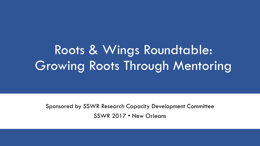# Roots & Wings Roundtable: Growing Roots Through Mentoring

Sponsored by SSWR Research Capacity Development Committee SSWR 2017 • New Orleans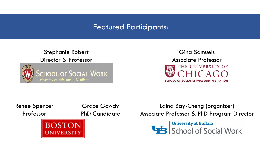### Featured Participants:

#### Stephanie Robert Director & Professor



Gina Samuels Associate Professor THE UNIVERSITY OF SCHOOL OF SOCIAL SERVICE ADMINISTRATION

#### Renee Spencer Professor

Grace Gowdy PhD Candidate



Laina Bay-Cheng (organizer) Associate Professor & PhD Program Director

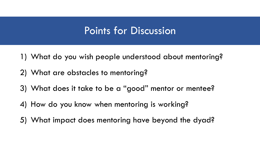## Points for Discussion

- 1) What do you wish people understood about mentoring?
- 2) What are obstacles to mentoring?
- 3) What does it take to be a "good" mentor or mentee?
- 4) How do you know when mentoring is working?
- 5) What impact does mentoring have beyond the dyad?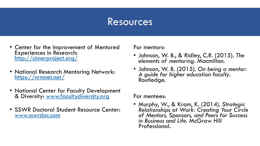### Resources

- Center for the Improvement of Mentored Experiences in Research: <http://cimerproject.org/>
- National Research Mentoring Network: <https://nrmnet.net/>
- National Center for Faculty Development & Diversity: [www.facultydiversity.org](http://www.facultydiversity.org/)
- SSWR Doctoral Student Resource Center: [www.sswrdoc.com](http://www.sswrdoc.com/)

For mentors:

- Johnson, W. B., & Ridley, C.R. (2015). *The elements of mentoring*. Macmillan.
- Johnson, W. B. (2015). *On being a mentor: A guide for higher education faculty*. Routledge.

For mentees:

• Murphy, W., & Kram, K. (2014). *Strategic Relationships at Work: Creating Your Circle of Mentors, Sponsors, and Peers for Success in Business and Life*. McGraw Hill Professional.